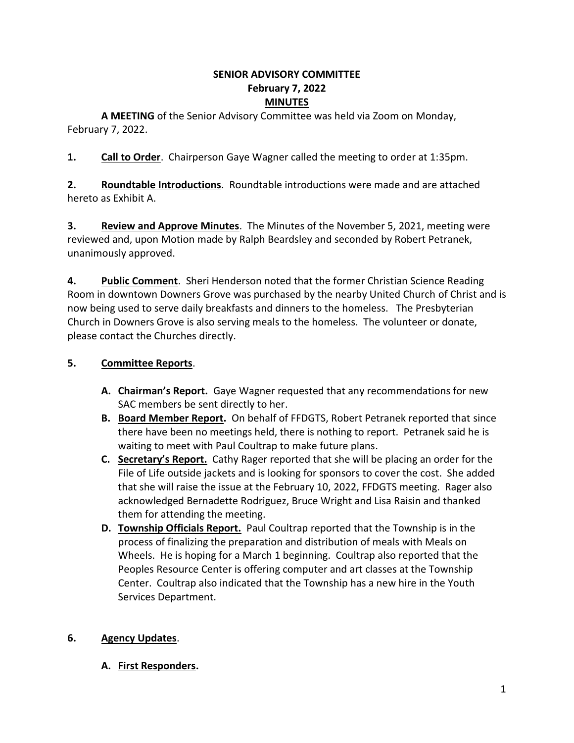#### **SENIOR ADVISORY COMMITTEE February 7, 2022 MINUTES**

**A MEETING** of the Senior Advisory Committee was held via Zoom on Monday, February 7, 2022.

**1. Call to Order**. Chairperson Gaye Wagner called the meeting to order at 1:35pm.

**2. Roundtable Introductions**. Roundtable introductions were made and are attached hereto as Exhibit A.

**3. Review and Approve Minutes**. The Minutes of the November 5, 2021, meeting were reviewed and, upon Motion made by Ralph Beardsley and seconded by Robert Petranek, unanimously approved.

**4. Public Comment**. Sheri Henderson noted that the former Christian Science Reading Room in downtown Downers Grove was purchased by the nearby United Church of Christ and is now being used to serve daily breakfasts and dinners to the homeless. The Presbyterian Church in Downers Grove is also serving meals to the homeless. The volunteer or donate, please contact the Churches directly.

## **5. Committee Reports**.

- **A. Chairman's Report.** Gaye Wagner requested that any recommendations for new SAC members be sent directly to her.
- **B. Board Member Report.** On behalf of FFDGTS, Robert Petranek reported that since there have been no meetings held, there is nothing to report. Petranek said he is waiting to meet with Paul Coultrap to make future plans.
- **C. Secretary's Report.** Cathy Rager reported that she will be placing an order for the File of Life outside jackets and is looking for sponsors to cover the cost. She added that she will raise the issue at the February 10, 2022, FFDGTS meeting. Rager also acknowledged Bernadette Rodriguez, Bruce Wright and Lisa Raisin and thanked them for attending the meeting.
- **D. Township Officials Report.** Paul Coultrap reported that the Township is in the process of finalizing the preparation and distribution of meals with Meals on Wheels. He is hoping for a March 1 beginning. Coultrap also reported that the Peoples Resource Center is offering computer and art classes at the Township Center. Coultrap also indicated that the Township has a new hire in the Youth Services Department.

## **6. Agency Updates**.

## **A. First Responders.**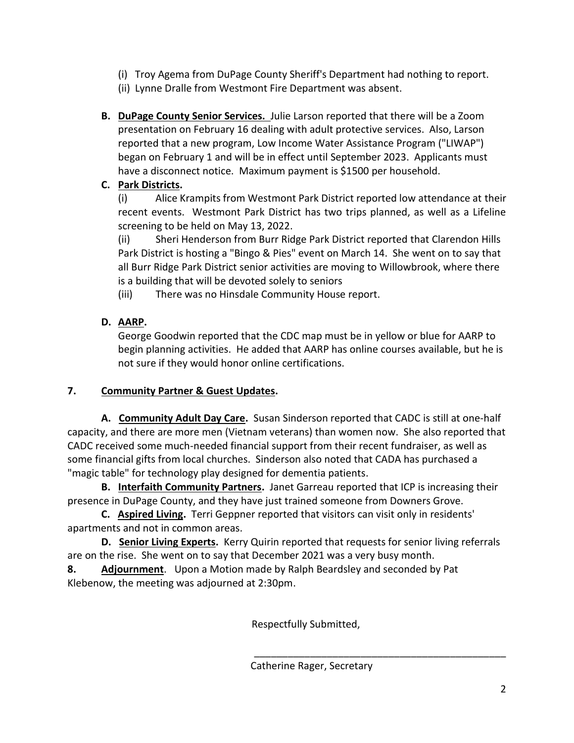- (i) Troy Agema from DuPage County Sheriff's Department had nothing to report.
- (ii) Lynne Dralle from Westmont Fire Department was absent.
- **B. DuPage County Senior Services.** Julie Larson reported that there will be a Zoom presentation on February 16 dealing with adult protective services. Also, Larson reported that a new program, Low Income Water Assistance Program ("LIWAP") began on February 1 and will be in effect until September 2023. Applicants must have a disconnect notice. Maximum payment is \$1500 per household.

## **C. Park Districts.**

(i) Alice Krampits from Westmont Park District reported low attendance at their recent events. Westmont Park District has two trips planned, as well as a Lifeline screening to be held on May 13, 2022.

(ii) Sheri Henderson from Burr Ridge Park District reported that Clarendon Hills Park District is hosting a "Bingo & Pies" event on March 14. She went on to say that all Burr Ridge Park District senior activities are moving to Willowbrook, where there is a building that will be devoted solely to seniors

(iii) There was no Hinsdale Community House report.

# **D. AARP.**

George Goodwin reported that the CDC map must be in yellow or blue for AARP to begin planning activities. He added that AARP has online courses available, but he is not sure if they would honor online certifications.

## **7. Community Partner & Guest Updates.**

**A. Community Adult Day Care.** Susan Sinderson reported that CADC is still at one-half capacity, and there are more men (Vietnam veterans) than women now. She also reported that CADC received some much-needed financial support from their recent fundraiser, as well as some financial gifts from local churches. Sinderson also noted that CADA has purchased a "magic table" for technology play designed for dementia patients.

**B. Interfaith Community Partners.** Janet Garreau reported that ICP is increasing their presence in DuPage County, and they have just trained someone from Downers Grove.

**C. Aspired Living.** Terri Geppner reported that visitors can visit only in residents' apartments and not in common areas.

**D. Senior Living Experts.** Kerry Quirin reported that requests for senior living referrals are on the rise. She went on to say that December 2021 was a very busy month.

**8. Adjournment**. Upon a Motion made by Ralph Beardsley and seconded by Pat Klebenow, the meeting was adjourned at 2:30pm.

Respectfully Submitted,

\_\_\_\_\_\_\_\_\_\_\_\_\_\_\_\_\_\_\_\_\_\_\_\_\_\_\_\_\_\_\_\_\_\_\_\_\_\_\_\_\_\_\_\_\_